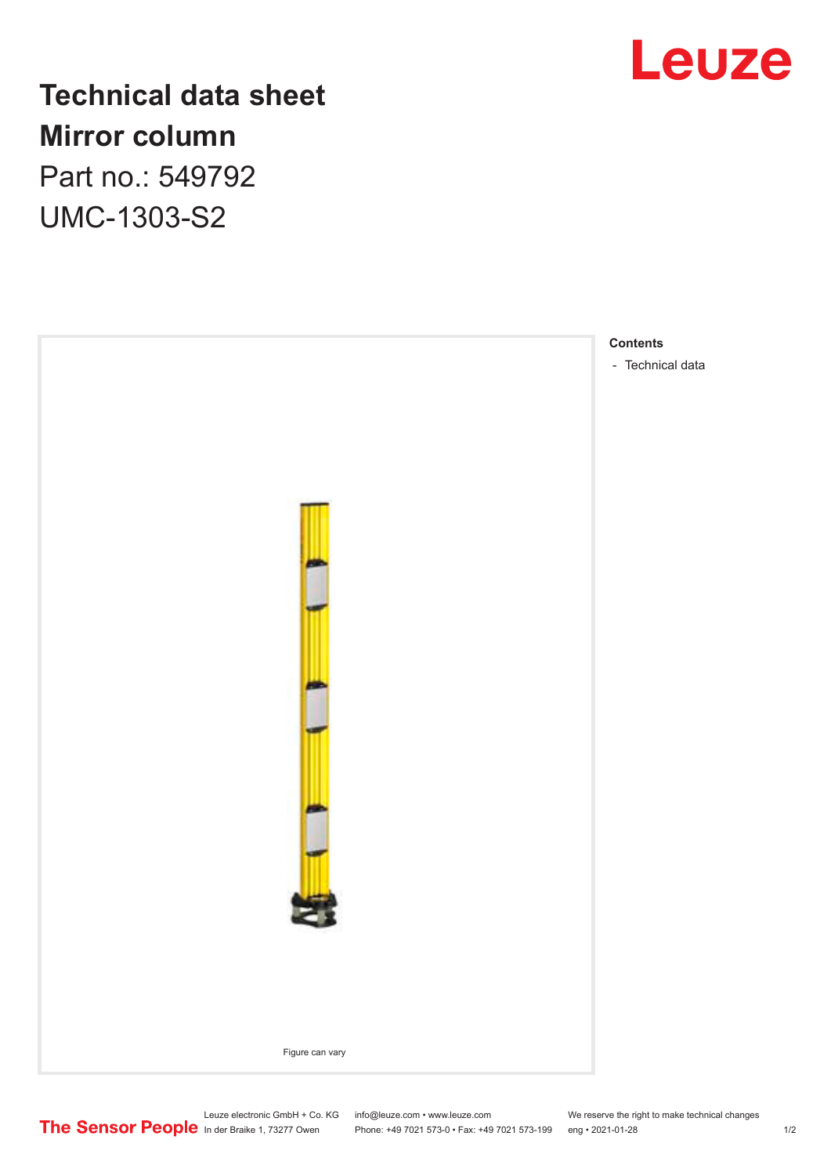

## **Technical data sheet Mirror column** Part no.: 549792

UMC-1303-S2



Leuze electronic GmbH + Co. KG info@leuze.com • www.leuze.com We reserve the right to make technical changes

In der Braike 1, 73277 Owen Phone: +49 7021 573-0 • Fax: +49 7021 573-199 eng • 2021-01-28 1/2